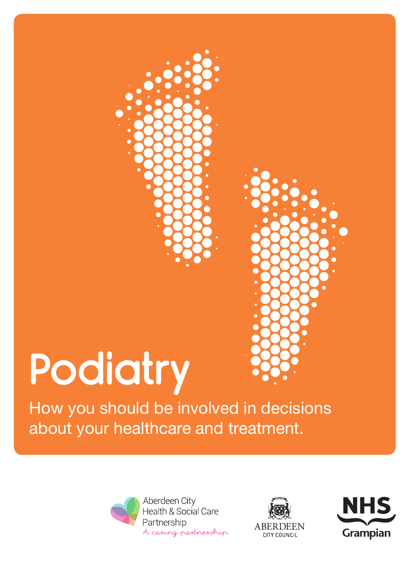# **Podiatry**

How you should be involved in decisions about your healthcare and treatment.



Aberdeen City Health & Social Care Partnership A casing pastnesship





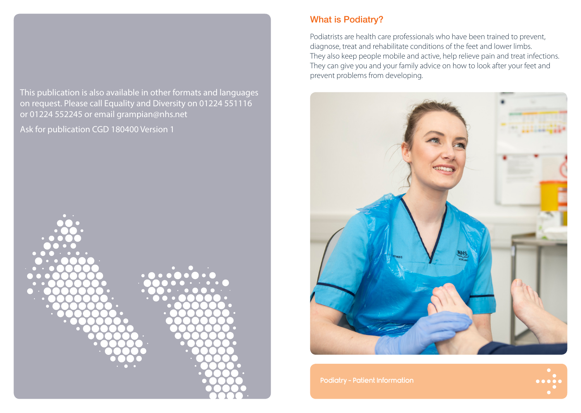This publication is also available in other formats and languages on request. Please call Equality and Diversity on 01224 551116 or 01224 552245 or email grampian@nhs.net

Ask for publication CGD 180400 Version 1



## What is Podiatry?

Podiatrists are health care professionals who have been trained to prevent, diagnose, treat and rehabilitate conditions of the feet and lower limbs. They also keep people mobile and active, help relieve pain and treat infections. They can give you and your family advice on how to look after your feet and prevent problems from developing.

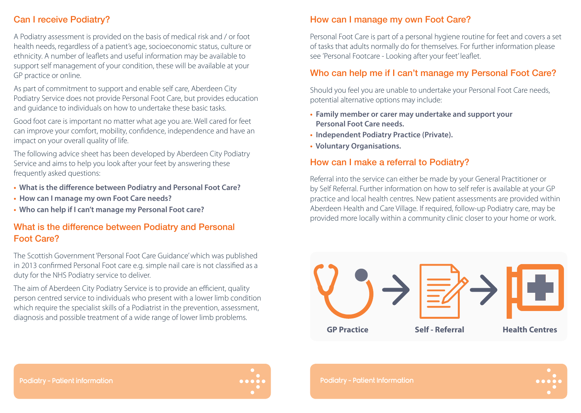## Can I receive Podiatry?

A Podiatry assessment is provided on the basis of medical risk and / or foot health needs, regardless of a patient's age, socioeconomic status, culture or ethnicity. A number of leaflets and useful information may be available to support self management of your condition, these will be available at your GP practice or online.

As part of commitment to support and enable self care, Aberdeen City Podiatry Service does not provide Personal Foot Care, but provides education and guidance to individuals on how to undertake these basic tasks.

Good foot care is important no matter what age you are. Well cared for feet can improve your comfort, mobility, confidence, independence and have an impact on your overall quality of life.

The following advice sheet has been developed by Aberdeen City Podiatry Service and aims to help you look after your feet by answering these frequently asked questions:

- **What is the difference between Podiatry and Personal Foot Care?**
- **How can I manage my own Foot Care needs?**
- **Who can help if I can't manage my Personal Foot care?**

#### What is the difference between Podiatry and Personal Foot Care?

The Scottish Government 'Personal Foot Care Guidance' which was published in 2013 confirmed Personal Foot care e.g. simple nail care is not classified as a duty for the NHS Podiatry service to deliver.

The aim of Aberdeen City Podiatry Service is to provide an efficient, quality person centred service to individuals who present with a lower limb condition which require the specialist skills of a Podiatrist in the prevention, assessment, diagnosis and possible treatment of a wide range of lower limb problems.

# How can I manage my own Foot Care?

Personal Foot Care is part of a personal hygiene routine for feet and covers a set of tasks that adults normally do for themselves. For further information please see 'Personal Footcare - Looking after your feet' leaflet.

## Who can help me if I can't manage my Personal Foot Care?

Should you feel you are unable to undertake your Personal Foot Care needs, potential alternative options may include:

- **Family member or carer may undertake and support your Personal Foot Care needs.**
- **Independent Podiatry Practice (Private).**
- **Voluntary Organisations.**

# How can I make a referral to Podiatry?

Referral into the service can either be made by your General Practitioner or by Self Referral. Further information on how to self refer is available at your GP practice and local health centres. New patient assessments are provided within Aberdeen Health and Care Village. If required, follow-up Podiatry care, may be provided more locally within a community clinic closer to your home or work.





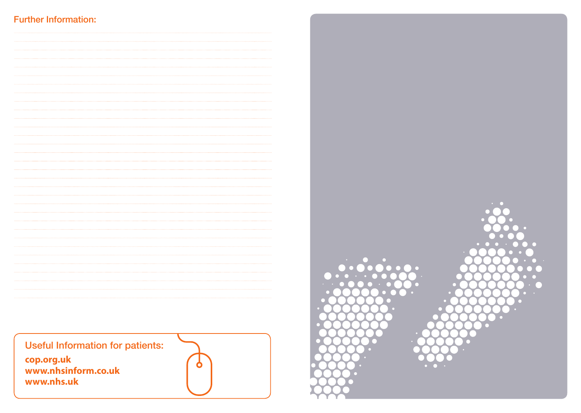## Further Information: